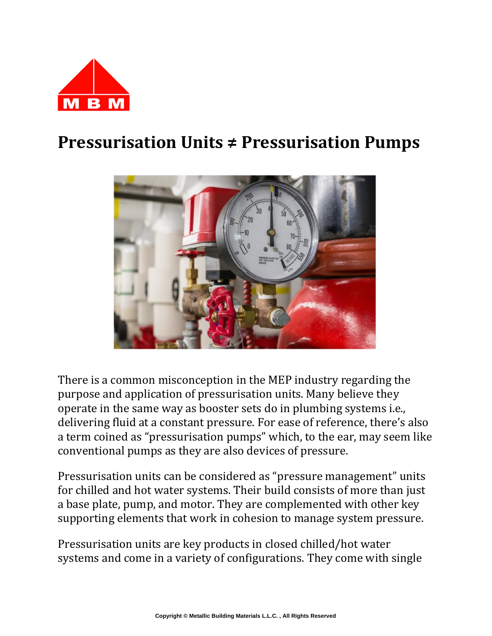

## **Pressurisation Units ≠ Pressurisation Pumps**



There is a common misconception in the MEP industry regarding the purpose and application of pressurisation units. Many believe they operate in the same way as booster sets do in plumbing systems i.e., delivering fluid at a constant pressure. For ease of reference, there's also a term coined as "pressurisation pumps" which, to the ear, may seem like conventional pumps as they are also devices of pressure.

Pressurisation units can be considered as "pressure management" units for chilled and hot water systems. Their build consists of more than just a base plate, pump, and motor. They are complemented with other key supporting elements that work in cohesion to manage system pressure.

Pressurisation units are key products in closed chilled/hot water systems and come in a variety of configurations. They come with single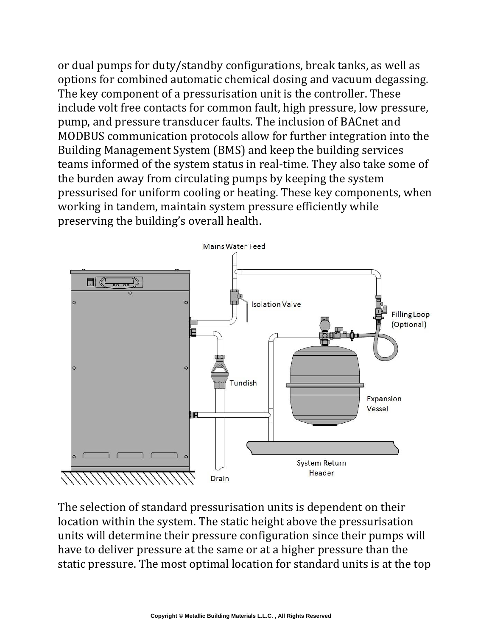or dual pumps for duty/standby configurations, break tanks, as well as options for combined automatic chemical dosing and vacuum degassing. The key component of a pressurisation unit is the controller. These include volt free contacts for common fault, high pressure, low pressure, pump, and pressure transducer faults. The inclusion of BACnet and MODBUS communication protocols allow for further integration into the Building Management System (BMS) and keep the building services teams informed of the system status in real-time. They also take some of the burden away from circulating pumps by keeping the system pressurised for uniform cooling or heating. These key components, when working in tandem, maintain system pressure efficiently while preserving the building's overall health.



The selection of standard pressurisation units is dependent on their location within the system. The static height above the pressurisation units will determine their pressure configuration since their pumps will have to deliver pressure at the same or at a higher pressure than the static pressure. The most optimal location for standard units is at the top